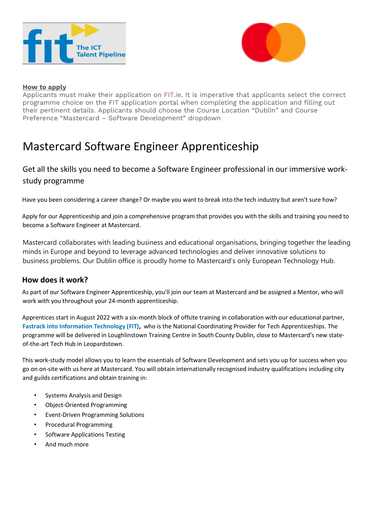



#### **How to apply**

Applicants must make their application on [FIT.ie.](https://fit.ie/apply-for-ictap-tech-apprenticeship/) It is imperative that applicants select the correct programme choice on the FIT application portal when completing the application and filling out their pertinent details. Applicants should choose the Course Location "Dublin" and Course Preference "Mastercard – Software Development" dropdown

# Mastercard Software Engineer Apprenticeship

## Get all the skills you need to become a Software Engineer professional in our immersive workstudy programme

Have you been considering a career change? Or maybe you want to break into the tech industry but aren't sure how?

Apply for our Apprenticeship and join a comprehensive program that provides you with the skills and training you need to become a Software Engineer at Mastercard.

Mastercard collaborates with leading business and educational organisations, bringing together the leading minds in Europe and beyond to leverage advanced technologies and deliver innovative solutions to business problems. Our Dublin office is proudly home to Mastercard's only European Technology Hub.

#### **How does it work?**

As part of our Software Engineer Apprenticeship, you'll join our team at Mastercard and be assigned a Mentor, who will work with you throughout your 24-month apprenticeship.

Apprentices start in August 2022 with a six-month block of offsite training in collaboration with our educational partner[,](https://fit.ie/) **[Fastrack into Information Technology \(FIT\),](https://fit.ie/)** who is the National Coordinating Provider for Tech Apprenticeships. The programme will be delivered in Loughlinstown Training Centre in South County Dublin, close to Mastercard's new stateof-the-art Tech Hub in Leopardstown.

This work-study model allows you to learn the essentials of Software Development and sets you up for success when you go on on-site with us here at Mastercard. You will obtain internationally recognised industry qualifications including city and guilds certifications and obtain training in:

- Systems Analysis and Design
- Object-Oriented Programming
- Event-Driven Programming Solutions
- Procedural Programming
- Software Applications Testing
- And much more